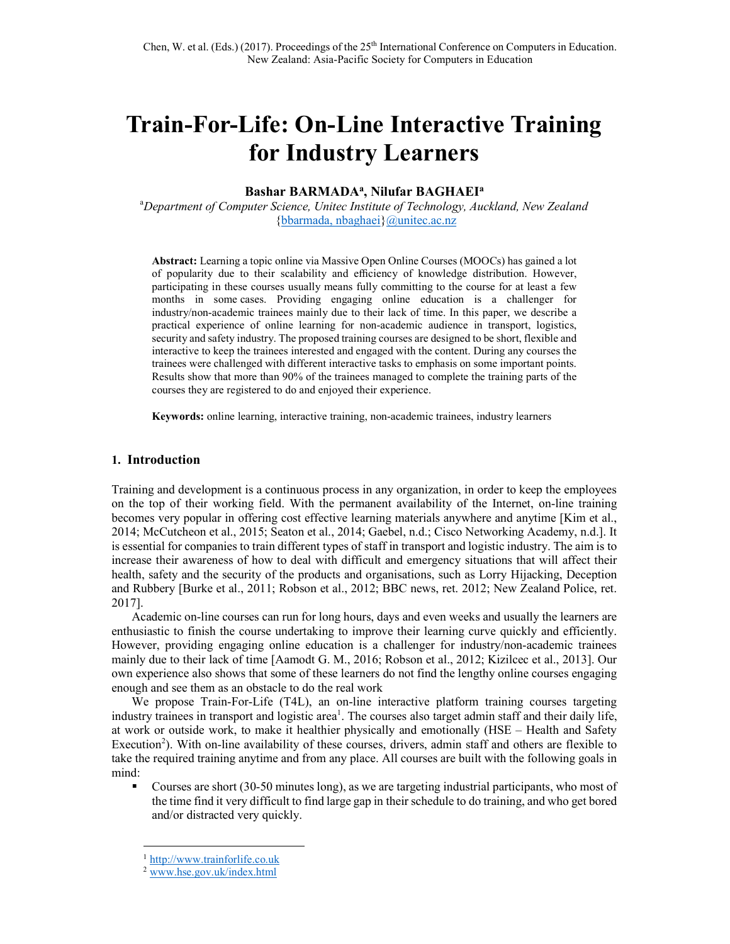# Train-For-Life: On-Line Interactive Training for Industry Learners

## Bashar BARMADA<sup>a</sup>, Nilufar BAGHAEI<sup>a</sup>

<sup>a</sup>Department of Computer Science, Unitec Institute of Technology, Auckland, New Zealand {bbarmada, nbaghaei}@unitec.ac.nz

Abstract: Learning a topic online via Massive Open Online Courses (MOOCs) has gained a lot of popularity due to their scalability and efficiency of knowledge distribution. However, participating in these courses usually means fully committing to the course for at least a few months in some cases. Providing engaging online education is a challenger for industry/non-academic trainees mainly due to their lack of time. In this paper, we describe a practical experience of online learning for non-academic audience in transport, logistics, security and safety industry. The proposed training courses are designed to be short, flexible and interactive to keep the trainees interested and engaged with the content. During any courses the trainees were challenged with different interactive tasks to emphasis on some important points. Results show that more than 90% of the trainees managed to complete the training parts of the courses they are registered to do and enjoyed their experience.

Keywords: online learning, interactive training, non-academic trainees, industry learners

#### 1. Introduction

Training and development is a continuous process in any organization, in order to keep the employees on the top of their working field. With the permanent availability of the Internet, on-line training becomes very popular in offering cost effective learning materials anywhere and anytime [Kim et al., 2014; McCutcheon et al., 2015; Seaton et al., 2014; Gaebel, n.d.; Cisco Networking Academy, n.d.]. It is essential for companies to train different types of staff in transport and logistic industry. The aim is to increase their awareness of how to deal with difficult and emergency situations that will affect their health, safety and the security of the products and organisations, such as Lorry Hijacking, Deception and Rubbery [Burke et al., 2011; Robson et al., 2012; BBC news, ret. 2012; New Zealand Police, ret. 2017].

Academic on-line courses can run for long hours, days and even weeks and usually the learners are enthusiastic to finish the course undertaking to improve their learning curve quickly and efficiently. However, providing engaging online education is a challenger for industry/non-academic trainees mainly due to their lack of time [Aamodt G. M., 2016; Robson et al., 2012; Kizilcec et al., 2013]. Our own experience also shows that some of these learners do not find the lengthy online courses engaging enough and see them as an obstacle to do the real work

We propose Train-For-Life (T4L), an on-line interactive platform training courses targeting industry trainees in transport and logistic area<sup>1</sup>. The courses also target admin staff and their daily life, at work or outside work, to make it healthier physically and emotionally (HSE – Health and Safety Execution<sup>2</sup>). With on-line availability of these courses, drivers, admin staff and others are flexible to take the required training anytime and from any place. All courses are built with the following goals in mind:

 Courses are short (30-50 minutes long), as we are targeting industrial participants, who most of the time find it very difficult to find large gap in their schedule to do training, and who get bored and/or distracted very quickly.

-

http://www.trainforlife.co.uk

<sup>2</sup> www.hse.gov.uk/index.html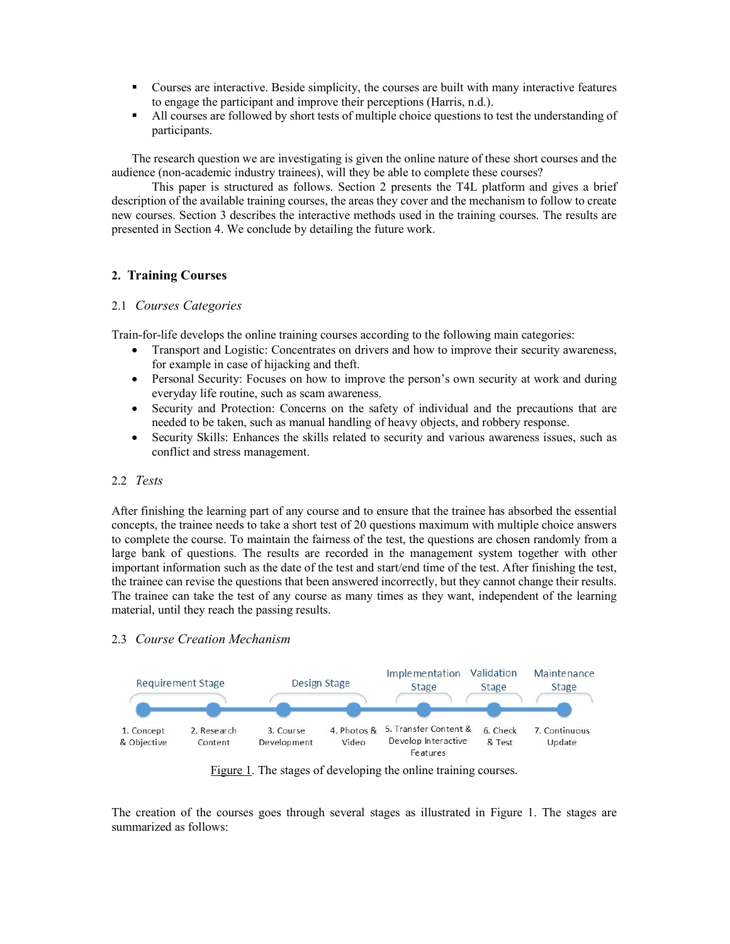- Courses are interactive. Beside simplicity, the courses are built with many interactive features to engage the participant and improve their perceptions (Harris, n.d.).
- All courses are followed by short tests of multiple choice questions to test the understanding of participants.

The research question we are investigating is given the online nature of these short courses and the audience (non-academic industry trainees), will they be able to complete these courses?

This paper is structured as follows. Section 2 presents the T4L platform and gives a brief description of the available training courses, the areas they cover and the mechanism to follow to create new courses. Section 3 describes the interactive methods used in the training courses. The results are presented in Section 4. We conclude by detailing the future work.

# 2. Training Courses

## 2.1 Courses Categories

Train-for-life develops the online training courses according to the following main categories:

- Transport and Logistic: Concentrates on drivers and how to improve their security awareness, for example in case of hijacking and theft.
- Personal Security: Focuses on how to improve the person's own security at work and during everyday life routine, such as scam awareness.
- Security and Protection: Concerns on the safety of individual and the precautions that are needed to be taken, such as manual handling of heavy objects, and robbery response.
- Security Skills: Enhances the skills related to security and various awareness issues, such as conflict and stress management.

## 2.2 Tests

After finishing the learning part of any course and to ensure that the trainee has absorbed the essential concepts, the trainee needs to take a short test of 20 questions maximum with multiple choice answers to complete the course. To maintain the fairness of the test, the questions are chosen randomly from a large bank of questions. The results are recorded in the management system together with other important information such as the date of the test and start/end time of the test. After finishing the test, the trainee can revise the questions that been answered incorrectly, but they cannot change their results. The trainee can take the test of any course as many times as they want, independent of the learning material, until they reach the passing results.

## 2.3 Course Creation Mechanism



Figure 1. The stages of developing the online training courses.

The creation of the courses goes through several stages as illustrated in Figure 1. The stages are summarized as follows: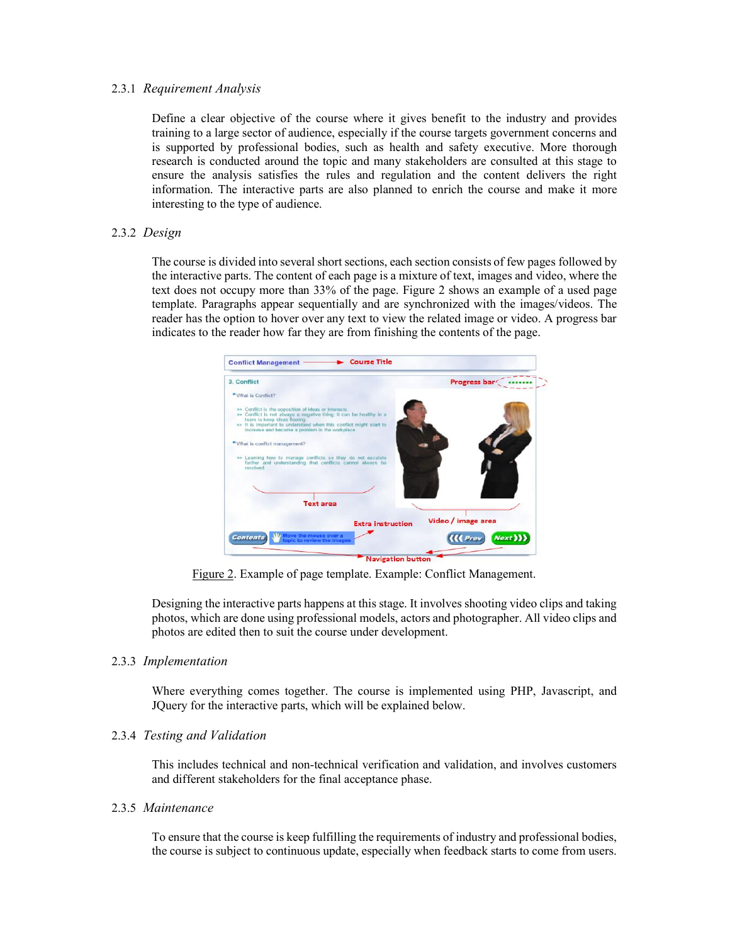#### 2.3.1 Requirement Analysis

Define a clear objective of the course where it gives benefit to the industry and provides training to a large sector of audience, especially if the course targets government concerns and is supported by professional bodies, such as health and safety executive. More thorough research is conducted around the topic and many stakeholders are consulted at this stage to ensure the analysis satisfies the rules and regulation and the content delivers the right information. The interactive parts are also planned to enrich the course and make it more interesting to the type of audience.

#### 2.3.2 Design

The course is divided into several short sections, each section consists of few pages followed by the interactive parts. The content of each page is a mixture of text, images and video, where the text does not occupy more than 33% of the page. Figure 2 shows an example of a used page template. Paragraphs appear sequentially and are synchronized with the images/videos. The reader has the option to hover over any text to view the related image or video. A progress bar indicates to the reader how far they are from finishing the contents of the page.



Figure 2. Example of page template. Example: Conflict Management.

Designing the interactive parts happens at this stage. It involves shooting video clips and taking photos, which are done using professional models, actors and photographer. All video clips and photos are edited then to suit the course under development.

#### 2.3.3 Implementation

Where everything comes together. The course is implemented using PHP, Javascript, and JQuery for the interactive parts, which will be explained below.

#### 2.3.4 Testing and Validation

This includes technical and non-technical verification and validation, and involves customers and different stakeholders for the final acceptance phase.

#### 2.3.5 Maintenance

To ensure that the course is keep fulfilling the requirements of industry and professional bodies, the course is subject to continuous update, especially when feedback starts to come from users.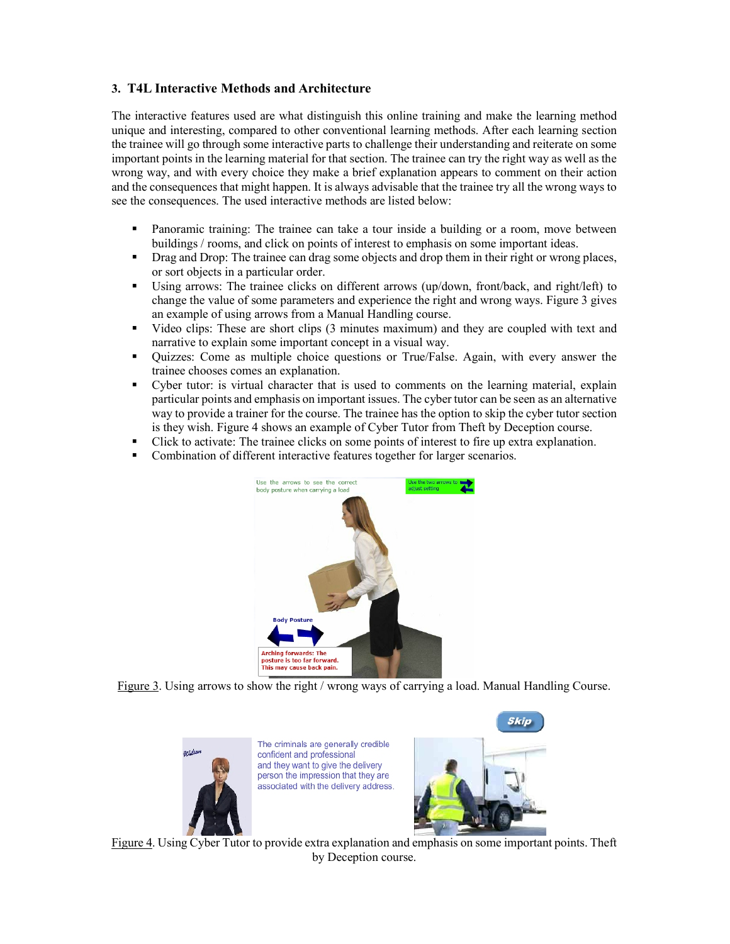# 3. T4L Interactive Methods and Architecture

The interactive features used are what distinguish this online training and make the learning method unique and interesting, compared to other conventional learning methods. After each learning section the trainee will go through some interactive parts to challenge their understanding and reiterate on some important points in the learning material for that section. The trainee can try the right way as well as the wrong way, and with every choice they make a brief explanation appears to comment on their action and the consequences that might happen. It is always advisable that the trainee try all the wrong ways to see the consequences. The used interactive methods are listed below:

- Panoramic training: The trainee can take a tour inside a building or a room, move between buildings / rooms, and click on points of interest to emphasis on some important ideas.
- Drag and Drop: The trainee can drag some objects and drop them in their right or wrong places, or sort objects in a particular order.
- Using arrows: The trainee clicks on different arrows (up/down, front/back, and right/left) to change the value of some parameters and experience the right and wrong ways. Figure 3 gives an example of using arrows from a Manual Handling course.
- Video clips: These are short clips (3 minutes maximum) and they are coupled with text and narrative to explain some important concept in a visual way.
- Quizzes: Come as multiple choice questions or True/False. Again, with every answer the trainee chooses comes an explanation.
- Cyber tutor: is virtual character that is used to comments on the learning material, explain particular points and emphasis on important issues. The cyber tutor can be seen as an alternative way to provide a trainer for the course. The trainee has the option to skip the cyber tutor section is they wish. Figure 4 shows an example of Cyber Tutor from Theft by Deception course.
- Click to activate: The trainee clicks on some points of interest to fire up extra explanation.
- Combination of different interactive features together for larger scenarios.



Figure 3. Using arrows to show the right / wrong ways of carrying a load. Manual Handling Course.



The criminals are generally credible confident and professional and they want to give the delivery person the impression that they are associated with the delivery address.



Figure 4. Using Cyber Tutor to provide extra explanation and emphasis on some important points. Theft by Deception course.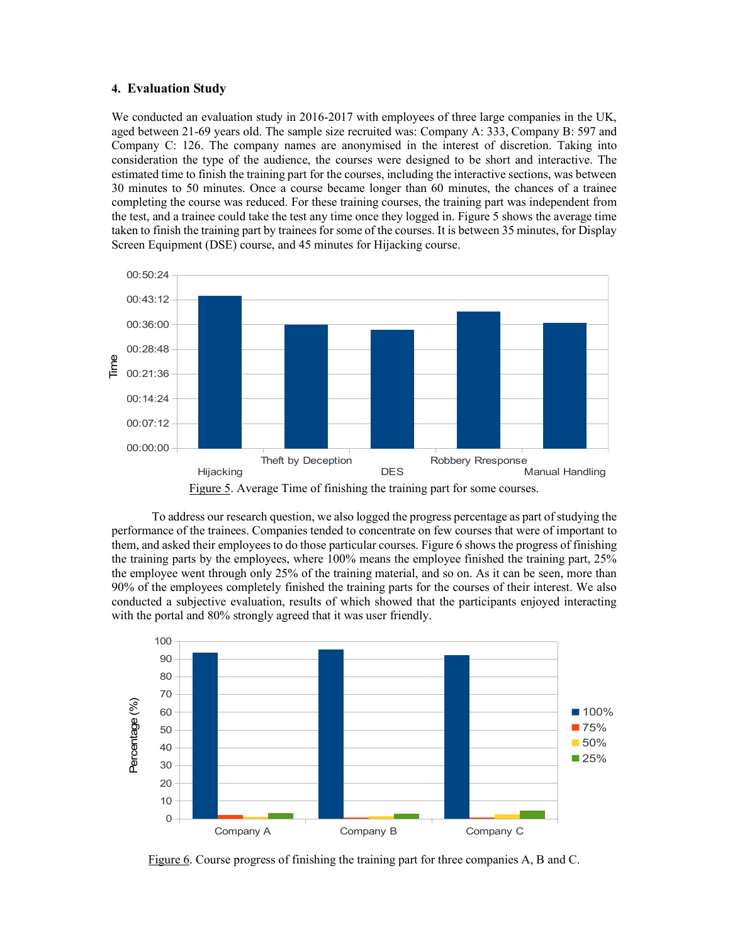#### 4. Evaluation Study

We conducted an evaluation study in 2016-2017 with employees of three large companies in the UK, aged between 21-69 years old. The sample size recruited was: Company A: 333, Company B: 597 and Company C: 126. The company names are anonymised in the interest of discretion. Taking into consideration the type of the audience, the courses were designed to be short and interactive. The estimated time to finish the training part for the courses, including the interactive sections, was between 30 minutes to 50 minutes. Once a course became longer than 60 minutes, the chances of a trainee completing the course was reduced. For these training courses, the training part was independent from the test, and a trainee could take the test any time once they logged in. Figure 5 shows the average time taken to finish the training part by trainees for some of the courses. It is between 35 minutes, for Display Screen Equipment (DSE) course, and 45 minutes for Hijacking course.





To address our research question, we also logged the progress percentage as part of studying the performance of the trainees. Companies tended to concentrate on few courses that were of important to them, and asked their employees to do those particular courses. Figure 6 shows the progress of finishing the training parts by the employees, where 100% means the employee finished the training part, 25% the employee went through only 25% of the training material, and so on. As it can be seen, more than 90% of the employees completely finished the training parts for the courses of their interest. We also conducted a subjective evaluation, results of which showed that the participants enjoyed interacting with the portal and 80% strongly agreed that it was user friendly.



Figure 6. Course progress of finishing the training part for three companies A, B and C.